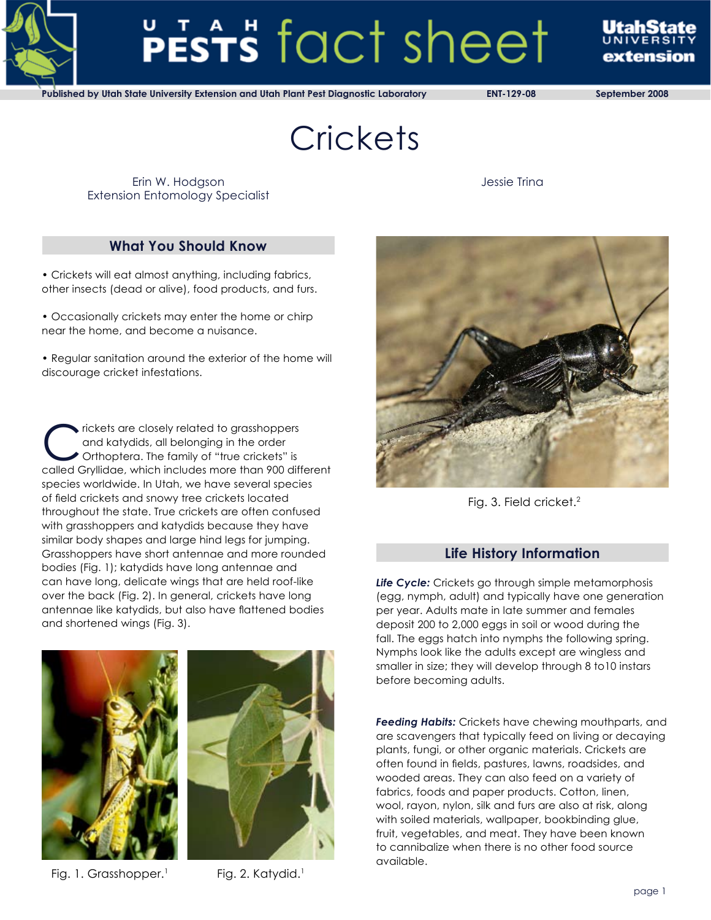

# PESTS fact sheet

evtencion

**Published by Utah State University Extension and Utah Plant Pest Diagnostic Laboratory ENT-129-08 September 2008**

**Crickets** 

Erin W. Hodgson Extension Entomology Specialist Jessie Trina

# **What You Should Know**

• Crickets will eat almost anything, including fabrics, other insects (dead or alive), food products, and furs.

• Occasionally crickets may enter the home or chirp near the home, and become a nuisance.

• Regular sanitation around the exterior of the home will discourage cricket infestations.

rickets are closely related to grasshoppers and katydids, all belonging in the order Orthoptera. The family of "true crickets" is called Gryllidae, which includes more than 900 different species worldwide. In Utah, we have several species of field crickets and snowy tree crickets located throughout the state. True crickets are often confused with grasshoppers and katydids because they have similar body shapes and large hind legs for jumping. Grasshoppers have short antennae and more rounded bodies (Fig. 1); katydids have long antennae and can have long, delicate wings that are held roof-like over the back (Fig. 2). In general, crickets have long antennae like katydids, but also have flattened bodies and shortened wings (Fig. 3).





Fig. 1. Grasshopper.<sup>1</sup> Fig. 2. Katydid.<sup>1</sup>



Fig. 3. Field cricket.<sup>2</sup>

# **Life History Information**

*Life Cycle:* Crickets go through simple metamorphosis (egg, nymph, adult) and typically have one generation per year. Adults mate in late summer and females deposit 200 to 2,000 eggs in soil or wood during the fall. The eggs hatch into nymphs the following spring. Nymphs look like the adults except are wingless and smaller in size; they will develop through 8 to10 instars before becoming adults.

*Feeding Habits:* Crickets have chewing mouthparts, and are scavengers that typically feed on living or decaying plants, fungi, or other organic materials. Crickets are often found in fields, pastures, lawns, roadsides, and wooded areas. They can also feed on a variety of fabrics, foods and paper products. Cotton, linen, wool, rayon, nylon, silk and furs are also at risk, along with soiled materials, wallpaper, bookbinding glue, fruit, vegetables, and meat. They have been known to cannibalize when there is no other food source available.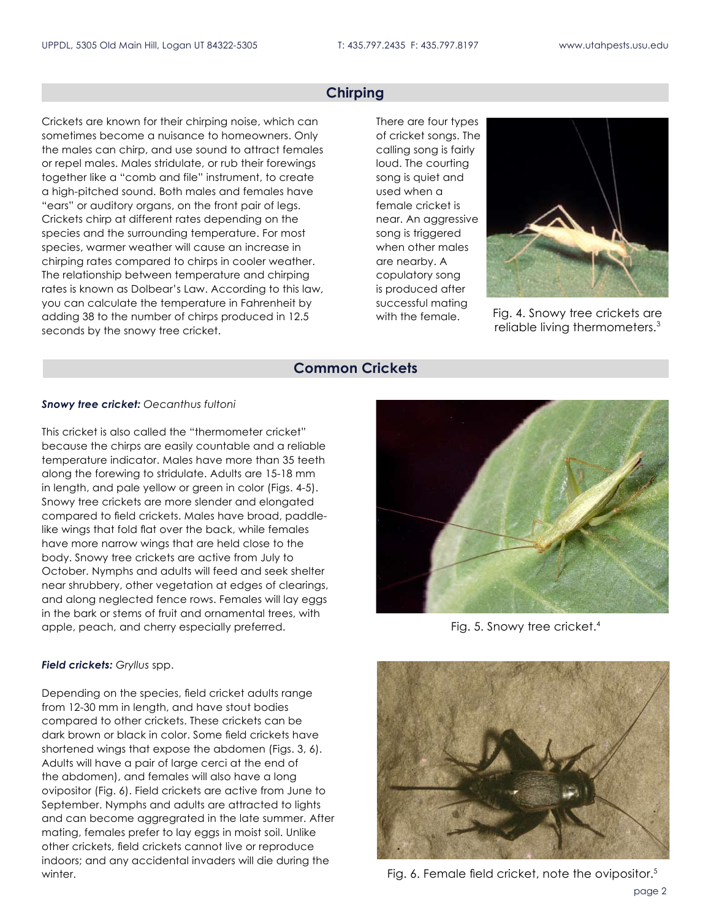## **Chirping**

Crickets are known for their chirping noise, which can sometimes become a nuisance to homeowners. Only the males can chirp, and use sound to attract females or repel males. Males stridulate, or rub their forewings together like a "comb and file" instrument, to create a high-pitched sound. Both males and females have "ears" or auditory organs, on the front pair of legs. Crickets chirp at different rates depending on the species and the surrounding temperature. For most species, warmer weather will cause an increase in chirping rates compared to chirps in cooler weather. The relationship between temperature and chirping rates is known as Dolbear's Law. According to this law, you can calculate the temperature in Fahrenheit by adding 38 to the number of chirps produced in 12.5 seconds by the snowy tree cricket.

There are four types of cricket songs. The calling song is fairly loud. The courting song is quiet and used when a female cricket is near. An aggressive song is triggered when other males are nearby. A copulatory song is produced after successful mating with the female.



Fig. 4. Snowy tree crickets are reliable living thermometers.3

#### **Common Crickets**

#### *Snowy tree cricket: Oecanthus fultoni*

This cricket is also called the "thermometer cricket" because the chirps are easily countable and a reliable temperature indicator. Males have more than 35 teeth along the forewing to stridulate. Adults are 15-18 mm in length, and pale yellow or green in color (Figs. 4-5). Snowy tree crickets are more slender and elongated compared to field crickets. Males have broad, paddlelike wings that fold flat over the back, while females have more narrow wings that are held close to the body. Snowy tree crickets are active from July to October. Nymphs and adults will feed and seek shelter near shrubbery, other vegetation at edges of clearings, and along neglected fence rows. Females will lay eggs in the bark or stems of fruit and ornamental trees, with apple, peach, and cherry especially preferred. The result of the Fig. 5. Snowy tree cricket.<sup>4</sup>

#### *Field crickets: Gryllus* spp.

Depending on the species, field cricket adults range from 12-30 mm in length, and have stout bodies compared to other crickets. These crickets can be dark brown or black in color. Some field crickets have shortened wings that expose the abdomen (Figs. 3, 6). Adults will have a pair of large cerci at the end of the abdomen), and females will also have a long ovipositor (Fig. 6). Field crickets are active from June to September. Nymphs and adults are attracted to lights and can become aggregrated in the late summer. After mating, females prefer to lay eggs in moist soil. Unlike other crickets, field crickets cannot live or reproduce indoors; and any accidental invaders will die during the winter. **Fig. 6. Female field cricket, note the ovipositor.**<sup>5</sup> Fig. 6. Female field cricket, note the ovipositor.<sup>5</sup>